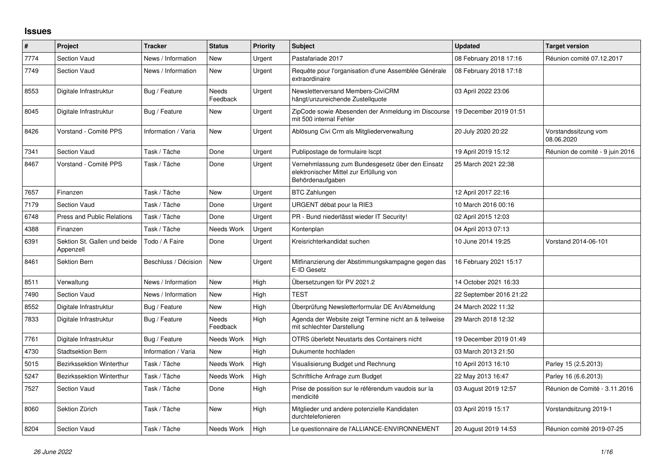## **Issues**

| #    | Project                                   | <b>Tracker</b>       | <b>Status</b>            | <b>Priority</b> | <b>Subject</b>                                                                                                  | <b>Updated</b>          | <b>Target version</b>              |
|------|-------------------------------------------|----------------------|--------------------------|-----------------|-----------------------------------------------------------------------------------------------------------------|-------------------------|------------------------------------|
| 7774 | <b>Section Vaud</b>                       | News / Information   | <b>New</b>               | Urgent          | Pastafariade 2017                                                                                               | 08 February 2018 17:16  | Réunion comité 07.12.2017          |
| 7749 | <b>Section Vaud</b>                       | News / Information   | <b>New</b>               | Urgent          | Requête pour l'organisation d'une Assemblée Générale<br>extraordinaire                                          | 08 February 2018 17:18  |                                    |
| 8553 | Digitale Infrastruktur                    | Bug / Feature        | <b>Needs</b><br>Feedback | Urgent          | Newsletterversand Members-CiviCRM<br>hängt/unzureichende Zustellquote                                           | 03 April 2022 23:06     |                                    |
| 8045 | Digitale Infrastruktur                    | Bug / Feature        | New                      | Urgent          | ZipCode sowie Abesenden der Anmeldung im Discourse<br>mit 500 internal Fehler                                   | 19 December 2019 01:51  |                                    |
| 8426 | Vorstand - Comité PPS                     | Information / Varia  | <b>New</b>               | Urgent          | Ablösung Civi Crm als Mitgliederverwaltung                                                                      | 20 July 2020 20:22      | Vorstandssitzung vom<br>08.06.2020 |
| 7341 | <b>Section Vaud</b>                       | Task / Tâche         | Done                     | Urgent          | Publipostage de formulaire Iscpt                                                                                | 19 April 2019 15:12     | Réunion de comité - 9 juin 2016    |
| 8467 | Vorstand - Comité PPS                     | Task / Tâche         | Done                     | Urgent          | Vernehmlassung zum Bundesgesetz über den Einsatz<br>elektronischer Mittel zur Erfüllung von<br>Behördenaufgaben | 25 March 2021 22:38     |                                    |
| 7657 | Finanzen                                  | Task / Tâche         | <b>New</b>               | Urgent          | <b>BTC Zahlungen</b>                                                                                            | 12 April 2017 22:16     |                                    |
| 7179 | Section Vaud                              | Task / Tâche         | Done                     | Urgent          | URGENT débat pour la RIE3                                                                                       | 10 March 2016 00:16     |                                    |
| 6748 | <b>Press and Public Relations</b>         | Task / Tâche         | Done                     | Urgent          | PR - Bund niederlässt wieder IT Security!                                                                       | 02 April 2015 12:03     |                                    |
| 4388 | Finanzen                                  | Task / Tâche         | Needs Work               | Urgent          | Kontenplan                                                                                                      | 04 April 2013 07:13     |                                    |
| 6391 | Sektion St. Gallen und beide<br>Appenzell | Todo / A Faire       | Done                     | Urgent          | Kreisrichterkandidat suchen                                                                                     | 10 June 2014 19:25      | Vorstand 2014-06-101               |
| 8461 | <b>Sektion Bern</b>                       | Beschluss / Décision | <b>New</b>               | Urgent          | Mitfinanzierung der Abstimmungskampagne gegen das<br>E-ID Gesetz                                                | 16 February 2021 15:17  |                                    |
| 8511 | Verwaltung                                | News / Information   | <b>New</b>               | High            | Übersetzungen für PV 2021.2                                                                                     | 14 October 2021 16:33   |                                    |
| 7490 | <b>Section Vaud</b>                       | News / Information   | <b>New</b>               | High            | <b>TEST</b>                                                                                                     | 22 September 2016 21:22 |                                    |
| 8552 | Digitale Infrastruktur                    | Bug / Feature        | New                      | High            | Überprüfung Newsletterformular DE An/Abmeldung                                                                  | 24 March 2022 11:32     |                                    |
| 7833 | Digitale Infrastruktur                    | Bug / Feature        | <b>Needs</b><br>Feedback | High            | Agenda der Website zeigt Termine nicht an & teilweise<br>mit schlechter Darstellung                             | 29 March 2018 12:32     |                                    |
| 7761 | Digitale Infrastruktur                    | Bug / Feature        | Needs Work               | High            | OTRS überlebt Neustarts des Containers nicht                                                                    | 19 December 2019 01:49  |                                    |
| 4730 | <b>Stadtsektion Bern</b>                  | Information / Varia  | <b>New</b>               | High            | Dukumente hochladen                                                                                             | 03 March 2013 21:50     |                                    |
| 5015 | Bezirkssektion Winterthur                 | Task / Tâche         | Needs Work               | High            | Visualisierung Budget und Rechnung                                                                              | 10 April 2013 16:10     | Parley 15 (2.5.2013)               |
| 5247 | <b>Bezirkssektion Winterthur</b>          | Task / Tâche         | Needs Work               | High            | Schriftliche Anfrage zum Budget                                                                                 | 22 May 2013 16:47       | Parley 16 (6.6.2013)               |
| 7527 | <b>Section Vaud</b>                       | Task / Tâche         | Done                     | High            | Prise de possition sur le référendum vaudois sur la<br>mendicité                                                | 03 August 2019 12:57    | Réunion de Comité - 3.11.2016      |
| 8060 | Sektion Zürich                            | Task / Tâche         | <b>New</b>               | High            | Mitglieder und andere potenzielle Kandidaten<br>durchtelefonieren                                               | 03 April 2019 15:17     | Vorstandsitzung 2019-1             |
| 8204 | <b>Section Vaud</b>                       | Task / Tâche         | Needs Work               | High            | Le questionnaire de l'ALLIANCE-ENVIRONNEMENT                                                                    | 20 August 2019 14:53    | Réunion comité 2019-07-25          |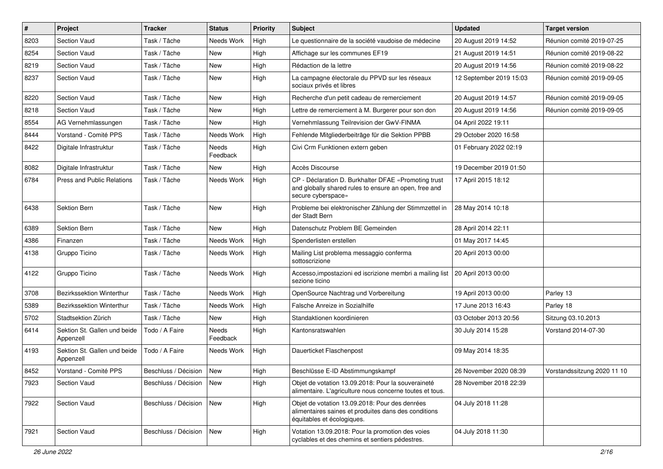| $\sharp$ | Project                                   | <b>Tracker</b>       | <b>Status</b>     | <b>Priority</b> | <b>Subject</b>                                                                                                                       | <b>Updated</b>          | <b>Target version</b>       |
|----------|-------------------------------------------|----------------------|-------------------|-----------------|--------------------------------------------------------------------------------------------------------------------------------------|-------------------------|-----------------------------|
| 8203     | Section Vaud                              | Task / Tâche         | Needs Work        | High            | Le questionnaire de la société vaudoise de médecine                                                                                  | 20 August 2019 14:52    | Réunion comité 2019-07-25   |
| 8254     | Section Vaud                              | Task / Tâche         | <b>New</b>        | High            | Affichage sur les communes EF19                                                                                                      | 21 August 2019 14:51    | Réunion comité 2019-08-22   |
| 8219     | Section Vaud                              | Task / Tâche         | New               | High            | Rédaction de la lettre                                                                                                               | 20 August 2019 14:56    | Réunion comité 2019-08-22   |
| 8237     | Section Vaud                              | Task / Tâche         | New               | High            | La campagne électorale du PPVD sur les réseaux<br>sociaux privés et libres                                                           | 12 September 2019 15:03 | Réunion comité 2019-09-05   |
| 8220     | Section Vaud                              | Task / Tâche         | New               | High            | Recherche d'un petit cadeau de remerciement                                                                                          | 20 August 2019 14:57    | Réunion comité 2019-09-05   |
| 8218     | Section Vaud                              | Task / Tâche         | <b>New</b>        | High            | Lettre de remerciement à M. Burgerer pour son don                                                                                    | 20 August 2019 14:56    | Réunion comité 2019-09-05   |
| 8554     | AG Vernehmlassungen                       | Task / Tâche         | New               | High            | Vernehmlassung Teilrevision der GwV-FINMA                                                                                            | 04 April 2022 19:11     |                             |
| 8444     | Vorstand - Comité PPS                     | Task / Tâche         | Needs Work        | High            | Fehlende Mitgliederbeiträge für die Sektion PPBB                                                                                     | 29 October 2020 16:58   |                             |
| 8422     | Digitale Infrastruktur                    | Task / Tâche         | Needs<br>Feedback | High            | Civi Crm Funktionen extern geben                                                                                                     | 01 February 2022 02:19  |                             |
| 8082     | Digitale Infrastruktur                    | Task / Tâche         | New               | High            | Accès Discourse                                                                                                                      | 19 December 2019 01:50  |                             |
| 6784     | Press and Public Relations                | Task / Tâche         | Needs Work        | High            | CP - Déclaration D. Burkhalter DFAE «Promoting trust<br>and globally shared rules to ensure an open, free and<br>secure cyberspace»  | 17 April 2015 18:12     |                             |
| 6438     | Sektion Bern                              | Task / Tâche         | <b>New</b>        | High            | Probleme bei elektronischer Zählung der Stimmzettel in<br>der Stadt Bern                                                             | 28 May 2014 10:18       |                             |
| 6389     | <b>Sektion Bern</b>                       | Task / Tâche         | New               | High            | Datenschutz Problem BE Gemeinden                                                                                                     | 28 April 2014 22:11     |                             |
| 4386     | Finanzen                                  | Task / Tâche         | Needs Work        | High            | Spenderlisten erstellen                                                                                                              | 01 May 2017 14:45       |                             |
| 4138     | Gruppo Ticino                             | Task / Tâche         | Needs Work        | High            | Mailing List problema messaggio conferma<br>sottoscrizione                                                                           | 20 April 2013 00:00     |                             |
| 4122     | Gruppo Ticino                             | Task / Tâche         | Needs Work        | High            | Accesso, impostazioni ed iscrizione membri a mailing list<br>sezione ticino                                                          | 20 April 2013 00:00     |                             |
| 3708     | Bezirkssektion Winterthur                 | Task / Tâche         | Needs Work        | High            | OpenSource Nachtrag und Vorbereitung                                                                                                 | 19 April 2013 00:00     | Parley 13                   |
| 5389     | Bezirkssektion Winterthur                 | Task / Tâche         | Needs Work        | High            | Falsche Anreize in Sozialhilfe                                                                                                       | 17 June 2013 16:43      | Parley 18                   |
| 5702     | Stadtsektion Zürich                       | Task / Tâche         | New               | High            | Standaktionen koordinieren                                                                                                           | 03 October 2013 20:56   | Sitzung 03.10.2013          |
| 6414     | Sektion St. Gallen und beide<br>Appenzell | Todo / A Faire       | Needs<br>Feedback | High            | Kantonsratswahlen                                                                                                                    | 30 July 2014 15:28      | Vorstand 2014-07-30         |
| 4193     | Sektion St. Gallen und beide<br>Appenzell | Todo / A Faire       | Needs Work        | High            | Dauerticket Flaschenpost                                                                                                             | 09 May 2014 18:35       |                             |
| 8452     | Vorstand - Comité PPS                     | Beschluss / Décision | New               | High            | Beschlüsse E-ID Abstimmungskampf                                                                                                     | 26 November 2020 08:39  | Vorstandssitzung 2020 11 10 |
| 7923     | Section Vaud                              | Beschluss / Décision | New               | High            | Objet de votation 13.09.2018: Pour la souveraineté<br>alimentaire. L'agriculture nous concerne toutes et tous.                       | 28 November 2018 22:39  |                             |
| 7922     | Section Vaud                              | Beschluss / Décision | New               | High            | Objet de votation 13.09.2018: Pour des denrées<br>alimentaires saines et produites dans des conditions<br>équitables et écologiques. | 04 July 2018 11:28      |                             |
| 7921     | Section Vaud                              | Beschluss / Décision | New               | High            | Votation 13.09.2018: Pour la promotion des voies<br>cyclables et des chemins et sentiers pédestres.                                  | 04 July 2018 11:30      |                             |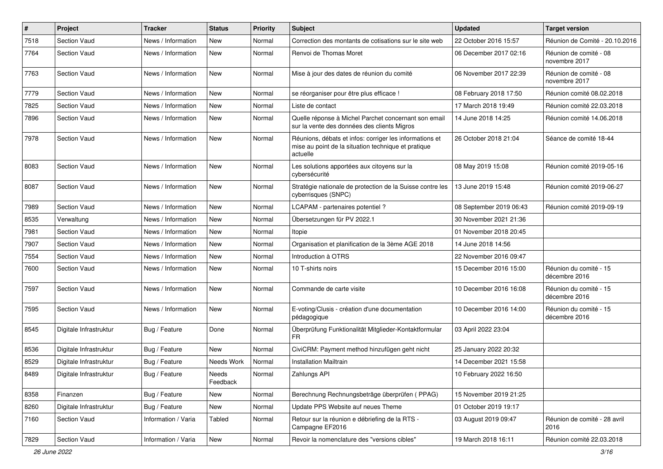| $\pmb{\#}$ | Project                | <b>Tracker</b>      | <b>Status</b>     | <b>Priority</b> | Subject                                                                                                                    | <b>Updated</b>          | <b>Target version</b>                   |
|------------|------------------------|---------------------|-------------------|-----------------|----------------------------------------------------------------------------------------------------------------------------|-------------------------|-----------------------------------------|
| 7518       | <b>Section Vaud</b>    | News / Information  | <b>New</b>        | Normal          | Correction des montants de cotisations sur le site web                                                                     | 22 October 2016 15:57   | Réunion de Comité - 20.10.2016          |
| 7764       | <b>Section Vaud</b>    | News / Information  | <b>New</b>        | Normal          | Renvoi de Thomas Moret                                                                                                     | 06 December 2017 02:16  | Réunion de comité - 08<br>novembre 2017 |
| 7763       | Section Vaud           | News / Information  | New               | Normal          | Mise à jour des dates de réunion du comité                                                                                 | 06 November 2017 22:39  | Réunion de comité - 08<br>novembre 2017 |
| 7779       | <b>Section Vaud</b>    | News / Information  | <b>New</b>        | Normal          | se réorganiser pour être plus efficace !                                                                                   | 08 February 2018 17:50  | Réunion comité 08.02.2018               |
| 7825       | <b>Section Vaud</b>    | News / Information  | <b>New</b>        | Normal          | Liste de contact                                                                                                           | 17 March 2018 19:49     | Réunion comité 22.03.2018               |
| 7896       | <b>Section Vaud</b>    | News / Information  | New               | Normal          | Quelle réponse à Michel Parchet concernant son email<br>sur la vente des données des clients Migros                        | 14 June 2018 14:25      | Réunion comité 14.06.2018               |
| 7978       | <b>Section Vaud</b>    | News / Information  | <b>New</b>        | Normal          | Réunions, débats et infos: corriger les informations et<br>mise au point de la situation technique et pratique<br>actuelle | 26 October 2018 21:04   | Séance de comité 18-44                  |
| 8083       | <b>Section Vaud</b>    | News / Information  | <b>New</b>        | Normal          | Les solutions apportées aux citoyens sur la<br>cybersécurité                                                               | 08 May 2019 15:08       | Réunion comité 2019-05-16               |
| 8087       | <b>Section Vaud</b>    | News / Information  | New               | Normal          | Stratégie nationale de protection de la Suisse contre les<br>cyberrisques (SNPC)                                           | 13 June 2019 15:48      | Réunion comité 2019-06-27               |
| 7989       | <b>Section Vaud</b>    | News / Information  | <b>New</b>        | Normal          | LCAPAM - partenaires potentiel?                                                                                            | 08 September 2019 06:43 | Réunion comité 2019-09-19               |
| 8535       | Verwaltung             | News / Information  | <b>New</b>        | Normal          | Übersetzungen für PV 2022.1                                                                                                | 30 November 2021 21:36  |                                         |
| 7981       | <b>Section Vaud</b>    | News / Information  | New               | Normal          | Itopie                                                                                                                     | 01 November 2018 20:45  |                                         |
| 7907       | <b>Section Vaud</b>    | News / Information  | <b>New</b>        | Normal          | Organisation et planification de la 3ème AGE 2018                                                                          | 14 June 2018 14:56      |                                         |
| 7554       | <b>Section Vaud</b>    | News / Information  | <b>New</b>        | Normal          | Introduction à OTRS                                                                                                        | 22 November 2016 09:47  |                                         |
| 7600       | <b>Section Vaud</b>    | News / Information  | New               | Normal          | 10 T-shirts noirs                                                                                                          | 15 December 2016 15:00  | Réunion du comité - 15<br>décembre 2016 |
| 7597       | <b>Section Vaud</b>    | News / Information  | New               | Normal          | Commande de carte visite                                                                                                   | 10 December 2016 16:08  | Réunion du comité - 15<br>décembre 2016 |
| 7595       | <b>Section Vaud</b>    | News / Information  | <b>New</b>        | Normal          | E-voting/Clusis - création d'une documentation<br>pédagogique                                                              | 10 December 2016 14:00  | Réunion du comité - 15<br>décembre 2016 |
| 8545       | Digitale Infrastruktur | Bug / Feature       | Done              | Normal          | Überprüfung Funktionalität Mitglieder-Kontaktformular                                                                      | 03 April 2022 23:04     |                                         |
| 8536       | Digitale Infrastruktur | Bug / Feature       | New               | Normal          | CiviCRM: Payment method hinzufügen geht nicht                                                                              | 25 January 2022 20:32   |                                         |
| 8529       | Digitale Infrastruktur | Bug / Feature       | Needs Work        | Normal          | <b>Installation Mailtrain</b>                                                                                              | 14 December 2021 15:58  |                                         |
| 8489       | Digitale Infrastruktur | Bug / Feature       | Needs<br>Feedback | Normal          | Zahlungs API                                                                                                               | 10 February 2022 16:50  |                                         |
| 8358       | Finanzen               | Bug / Feature       | New               | Normal          | Berechnung Rechnungsbeträge überprüfen (PPAG)                                                                              | 15 November 2019 21:25  |                                         |
| 8260       | Digitale Infrastruktur | Bug / Feature       | New               | Normal          | Update PPS Website auf neues Theme                                                                                         | 01 October 2019 19:17   |                                         |
| 7160       | Section Vaud           | Information / Varia | Tabled            | Normal          | Retour sur la réunion e débriefing de la RTS -<br>Campagne EF2016                                                          | 03 August 2019 09:47    | Réunion de comité - 28 avril<br>2016    |
| 7829       | Section Vaud           | Information / Varia | New               | Normal          | Revoir la nomenclature des "versions cibles"                                                                               | 19 March 2018 16:11     | Réunion comité 22.03.2018               |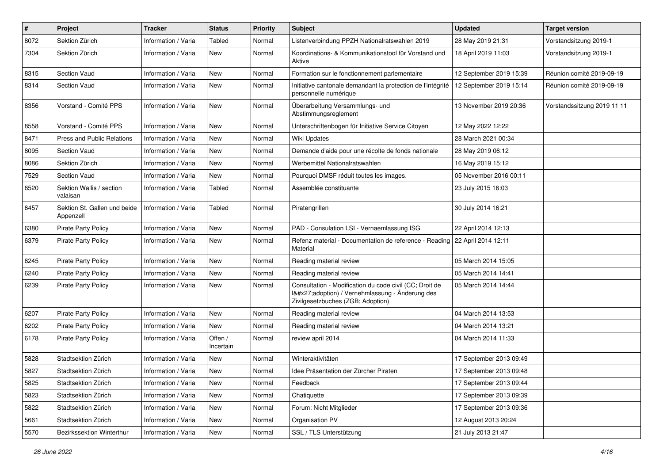| #    | <b>Project</b>                            | <b>Tracker</b>      | <b>Status</b>        | <b>Priority</b> | <b>Subject</b>                                                                                                                              | <b>Updated</b>          | Target version              |
|------|-------------------------------------------|---------------------|----------------------|-----------------|---------------------------------------------------------------------------------------------------------------------------------------------|-------------------------|-----------------------------|
| 8072 | Sektion Zürich                            | Information / Varia | Tabled               | Normal          | Listenverbindung PPZH Nationalratswahlen 2019                                                                                               | 28 May 2019 21:31       | Vorstandsitzung 2019-1      |
| 7304 | Sektion Zürich                            | Information / Varia | New                  | Normal          | Koordinations- & Kommunikationstool für Vorstand und<br>Aktive                                                                              | 18 April 2019 11:03     | Vorstandsitzung 2019-1      |
| 8315 | <b>Section Vaud</b>                       | Information / Varia | New                  | Normal          | Formation sur le fonctionnement parlementaire                                                                                               | 12 September 2019 15:39 | Réunion comité 2019-09-19   |
| 8314 | <b>Section Vaud</b>                       | Information / Varia | New                  | Normal          | Initiative cantonale demandant la protection de l'intégrité<br>personnelle numérique                                                        | 12 September 2019 15:14 | Réunion comité 2019-09-19   |
| 8356 | Vorstand - Comité PPS                     | Information / Varia | New                  | Normal          | Überarbeitung Versammlungs- und<br>Abstimmungsreglement                                                                                     | 13 November 2019 20:36  | Vorstandssitzung 2019 11 11 |
| 8558 | Vorstand - Comité PPS                     | Information / Varia | New                  | Normal          | Unterschriftenbogen für Initiative Service Citoyen                                                                                          | 12 May 2022 12:22       |                             |
| 8471 | Press and Public Relations                | Information / Varia | New                  | Normal          | Wiki Updates                                                                                                                                | 28 March 2021 00:34     |                             |
| 8095 | Section Vaud                              | Information / Varia | New                  | Normal          | Demande d'aide pour une récolte de fonds nationale                                                                                          | 28 May 2019 06:12       |                             |
| 8086 | Sektion Zürich                            | Information / Varia | New                  | Normal          | Werbemittel Nationalratswahlen                                                                                                              | 16 May 2019 15:12       |                             |
| 7529 | <b>Section Vaud</b>                       | Information / Varia | New                  | Normal          | Pourquoi DMSF réduit toutes les images.                                                                                                     | 05 November 2016 00:11  |                             |
| 6520 | Sektion Wallis / section<br>valaisan      | Information / Varia | <b>Tabled</b>        | Normal          | Assemblée constituante                                                                                                                      | 23 July 2015 16:03      |                             |
| 6457 | Sektion St. Gallen und beide<br>Appenzell | Information / Varia | <b>Tabled</b>        | Normal          | Piratengrillen                                                                                                                              | 30 July 2014 16:21      |                             |
| 6380 | Pirate Party Policy                       | Information / Varia | New                  | Normal          | PAD - Consulation LSI - Vernaemlassung ISG                                                                                                  | 22 April 2014 12:13     |                             |
| 6379 | <b>Pirate Party Policy</b>                | Information / Varia | New                  | Normal          | Refenz material - Documentation de reference - Reading<br>Material                                                                          | 22 April 2014 12:11     |                             |
| 6245 | <b>Pirate Party Policy</b>                | Information / Varia | New                  | Normal          | Reading material review                                                                                                                     | 05 March 2014 15:05     |                             |
| 6240 | <b>Pirate Party Policy</b>                | Information / Varia | New                  | Normal          | Reading material review                                                                                                                     | 05 March 2014 14:41     |                             |
| 6239 | <b>Pirate Party Policy</b>                | Information / Varia | New                  | Normal          | Consultation - Modification du code civil (CC; Droit de<br>I'adoption) / Vernehmlassung - Änderung des<br>Zivilgesetzbuches (ZGB; Adoption) | 05 March 2014 14:44     |                             |
| 6207 | <b>Pirate Party Policy</b>                | Information / Varia | <b>New</b>           | Normal          | Reading material review                                                                                                                     | 04 March 2014 13:53     |                             |
| 6202 | <b>Pirate Party Policy</b>                | Information / Varia | New                  | Normal          | Reading material review                                                                                                                     | 04 March 2014 13:21     |                             |
| 6178 | <b>Pirate Party Policy</b>                | Information / Varia | Offen /<br>Incertain | Normal          | review april 2014                                                                                                                           | 04 March 2014 11:33     |                             |
| 5828 | Stadtsektion Zürich                       | Information / Varia | New                  | Normal          | Winteraktivitäten                                                                                                                           | 17 September 2013 09:49 |                             |
| 5827 | Stadtsektion Zürich                       | Information / Varia | New                  | Normal          | ldee Präsentation der Zürcher Piraten                                                                                                       | 17 September 2013 09:48 |                             |
| 5825 | Stadtsektion Zürich                       | Information / Varia | New                  | Normal          | Feedback                                                                                                                                    | 17 September 2013 09:44 |                             |
| 5823 | Stadtsektion Zürich                       | Information / Varia | New                  | Normal          | Chatiquette                                                                                                                                 | 17 September 2013 09:39 |                             |
| 5822 | Stadtsektion Zürich                       | Information / Varia | New                  | Normal          | Forum: Nicht Mitglieder                                                                                                                     | 17 September 2013 09:36 |                             |
| 5661 | Stadtsektion Zürich                       | Information / Varia | New                  | Normal          | Organisation PV                                                                                                                             | 12 August 2013 20:24    |                             |
| 5570 | Bezirkssektion Winterthur                 | Information / Varia | New                  | Normal          | SSL / TLS Unterstützung                                                                                                                     | 21 July 2013 21:47      |                             |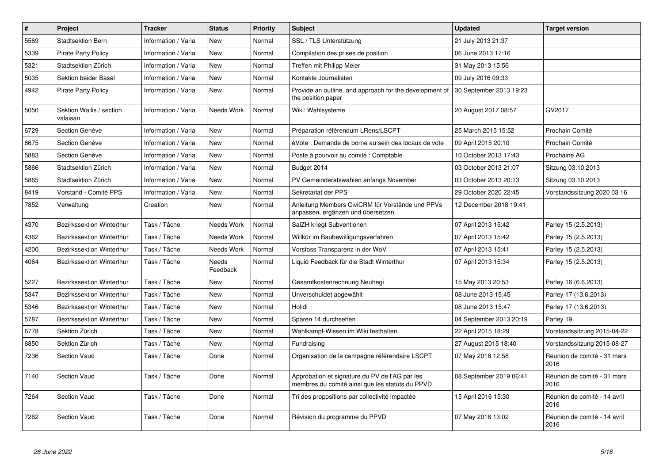| $\pmb{\#}$ | Project                              | <b>Tracker</b>      | <b>Status</b>     | <b>Priority</b> | <b>Subject</b>                                                                                    | <b>Updated</b>          | <b>Target version</b>                |
|------------|--------------------------------------|---------------------|-------------------|-----------------|---------------------------------------------------------------------------------------------------|-------------------------|--------------------------------------|
| 5569       | <b>Stadtsektion Bern</b>             | Information / Varia | <b>New</b>        | Normal          | SSL / TLS Unterstützung                                                                           | 21 July 2013 21:37      |                                      |
| 5339       | <b>Pirate Party Policy</b>           | Information / Varia | <b>New</b>        | Normal          | Compilation des prises de position                                                                | 06 June 2013 17:16      |                                      |
| 5321       | Stadtsektion Zürich                  | Information / Varia | New               | Normal          | Treffen mit Philipp Meier                                                                         | 31 May 2013 15:56       |                                      |
| 5035       | Sektion beider Basel                 | Information / Varia | <b>New</b>        | Normal          | Kontakte Journalisten                                                                             | 09 July 2016 09:33      |                                      |
| 4942       | <b>Pirate Party Policy</b>           | Information / Varia | <b>New</b>        | Normal          | Provide an outline, and approach for the development of<br>the position paper                     | 30 September 2013 19:23 |                                      |
| 5050       | Sektion Wallis / section<br>valaisan | Information / Varia | Needs Work        | Normal          | Wiki: Wahlsysteme                                                                                 | 20 August 2017 08:57    | GV2017                               |
| 6729       | Section Genève                       | Information / Varia | <b>New</b>        | Normal          | Préparation référendum LRens/LSCPT                                                                | 25 March 2015 15:52     | Prochain Comité                      |
| 6675       | Section Genève                       | Information / Varia | <b>New</b>        | Normal          | éVote : Demande de borne au sein des locaux de vote                                               | 09 April 2015 20:10     | Prochain Comité                      |
| 5883       | Section Genève                       | Information / Varia | <b>New</b>        | Normal          | Poste à pourvoir au comité : Comptable                                                            | 10 October 2013 17:43   | Prochaine AG                         |
| 5866       | Stadtsektion Zürich                  | Information / Varia | New               | Normal          | Budget 2014                                                                                       | 03 October 2013 21:07   | Sitzung 03.10.2013                   |
| 5865       | Stadtsektion Zürich                  | Information / Varia | <b>New</b>        | Normal          | PV Gemeinderatswahlen anfangs November                                                            | 03 October 2013 20:13   | Sitzung 03.10.2013                   |
| 8419       | Vorstand - Comité PPS                | Information / Varia | New               | Normal          | Sekretariat der PPS                                                                               | 29 October 2020 22:45   | Vorstandssitzung 2020 03 16          |
| 7852       | Verwaltung                           | Creation            | <b>New</b>        | Normal          | Anleitung Members CiviCRM für Vorstände und PPVs<br>anpassen, ergänzen und übersetzen.            | 12 December 2018 19:41  |                                      |
| 4370       | <b>Bezirkssektion Winterthur</b>     | Task / Tâche        | Needs Work        | Normal          | SalZH kriegt Subventionen                                                                         | 07 April 2013 15:42     | Parley 15 (2.5.2013)                 |
| 4362       | Bezirkssektion Winterthur            | Task / Tâche        | Needs Work        | Normal          | Willkür im Baubewilligungsverfahren                                                               | 07 April 2013 15:42     | Parley 15 (2.5.2013)                 |
| 4200       | Bezirkssektion Winterthur            | Task / Tâche        | Needs Work        | Normal          | Vorstoss Transparenz in der WoV                                                                   | 07 April 2013 15:41     | Parley 15 (2.5.2013)                 |
| 4064       | Bezirkssektion Winterthur            | Task / Tâche        | Needs<br>Feedback | Normal          | Liguid Feedback für die Stadt Winterthur                                                          | 07 April 2013 15:34     | Parley 15 (2.5.2013)                 |
| 5227       | <b>Bezirkssektion Winterthur</b>     | Task / Tâche        | <b>New</b>        | Normal          | Gesamtkostenrechnung Neuhegi                                                                      | 15 May 2013 20:53       | Parley 16 (6.6.2013)                 |
| 5347       | Bezirkssektion Winterthur            | Task / Tâche        | <b>New</b>        | Normal          | Unverschuldet abgewählt                                                                           | 08 June 2013 15:45      | Parley 17 (13.6.2013)                |
| 5346       | <b>Bezirkssektion Winterthur</b>     | Task / Tâche        | New               | Normal          | Holidi                                                                                            | 08 June 2013 15:47      | Parley 17 (13.6.2013)                |
| 5787       | Bezirkssektion Winterthur            | Task / Tâche        | New               | Normal          | Sparen 14 durchsehen                                                                              | 04 September 2013 20:19 | Parley 19                            |
| 6778       | Sektion Zürich                       | Task / Tâche        | New               | Normal          | Wahlkampf-Wissen im Wiki festhalten                                                               | 22 April 2015 18:29     | Vorstandssitzung 2015-04-22          |
| 6850       | Sektion Zürich                       | Task / Tâche        | New               | Normal          | Fundraising                                                                                       | 27 August 2015 18:40    | Vorstandssitzung 2015-08-27          |
| 7236       | <b>Section Vaud</b>                  | Task / Tâche        | Done              | Normal          | Organisation de la campagne référendaire LSCPT                                                    | 07 May 2018 12:58       | Réunion de comité - 31 mars<br>2016  |
| 7140       | <b>Section Vaud</b>                  | Task / Tâche        | Done              | Normal          | Approbation et signature du PV de l'AG par les<br>membres du comité ainsi que les statuts du PPVD | 08 September 2019 06:41 | Réunion de comité - 31 mars<br>2016  |
| 7264       | <b>Section Vaud</b>                  | Task / Tâche        | Done              | Normal          | Tri des propositions par collectivité impactée                                                    | 15 April 2016 15:30     | Réunion de comité - 14 avril<br>2016 |
| 7262       | <b>Section Vaud</b>                  | Task / Tâche        | Done              | Normal          | Révision du programme du PPVD                                                                     | 07 May 2018 13:02       | Réunion de comité - 14 avril<br>2016 |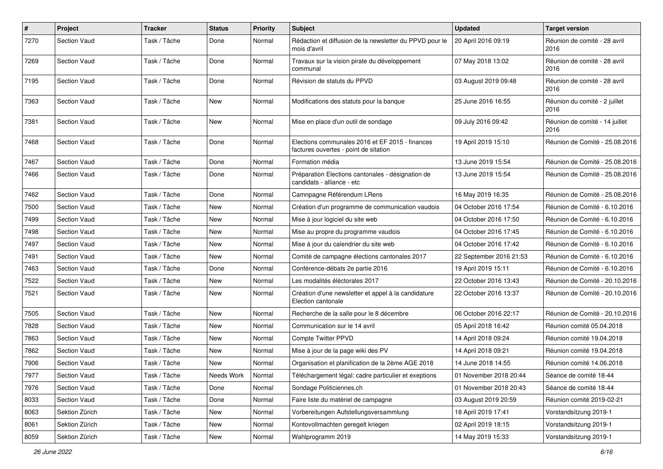| $\#$ | Project             | <b>Tracker</b> | <b>Status</b> | <b>Priority</b> | Subject                                                                                  | <b>Updated</b>          | <b>Target version</b>                  |
|------|---------------------|----------------|---------------|-----------------|------------------------------------------------------------------------------------------|-------------------------|----------------------------------------|
| 7270 | <b>Section Vaud</b> | Task / Tâche   | Done          | Normal          | Rédaction et diffusion de la newsletter du PPVD pour le<br>mois d'avril                  | 20 April 2016 09:19     | Réunion de comité - 28 avril<br>2016   |
| 7269 | <b>Section Vaud</b> | Task / Tâche   | Done          | Normal          | Travaux sur la vision pirate du développement<br>communal                                | 07 May 2018 13:02       | Réunion de comité - 28 avril<br>2016   |
| 7195 | <b>Section Vaud</b> | Task / Tâche   | Done          | Normal          | Révision de statuts du PPVD                                                              | 03 August 2019 09:48    | Réunion de comité - 28 avril<br>2016   |
| 7363 | <b>Section Vaud</b> | Task / Tâche   | New           | Normal          | Modifications des statuts pour la banque                                                 | 25 June 2016 16:55      | Réunion du comité - 2 juillet<br>2016  |
| 7381 | <b>Section Vaud</b> | Task / Tâche   | <b>New</b>    | Normal          | Mise en place d'un outil de sondage                                                      | 09 July 2016 09:42      | Réunion de comité - 14 juillet<br>2016 |
| 7468 | <b>Section Vaud</b> | Task / Tâche   | Done          | Normal          | Elections communales 2016 et EF 2015 - finances<br>factures ouvertes - point de sitation | 19 April 2019 15:10     | Réunion de Comité - 25.08.2016         |
| 7467 | <b>Section Vaud</b> | Task / Tâche   | Done          | Normal          | Formation média                                                                          | 13 June 2019 15:54      | Réunion de Comité - 25.08.2016         |
| 7466 | <b>Section Vaud</b> | Task / Tâche   | Done          | Normal          | Préparation Elections cantonales - désignation de<br>candidats - alliance - etc          | 13 June 2019 15:54      | Réunion de Comité - 25.08.2016         |
| 7462 | <b>Section Vaud</b> | Task / Tâche   | Done          | Normal          | Camnpagne Référendum LRens                                                               | 16 May 2019 16:35       | Réunion de Comité - 25.08.2016         |
| 7500 | <b>Section Vaud</b> | Task / Tâche   | New           | Normal          | Création d'un programme de communication vaudois                                         | 04 October 2016 17:54   | Réunion de Comité - 6.10.2016          |
| 7499 | <b>Section Vaud</b> | Task / Tâche   | New           | Normal          | Mise à jour logiciel du site web                                                         | 04 October 2016 17:50   | Réunion de Comité - 6.10.2016          |
| 7498 | <b>Section Vaud</b> | Task / Tâche   | New           | Normal          | Mise au propre du programme vaudois                                                      | 04 October 2016 17:45   | Réunion de Comité - 6.10.2016          |
| 7497 | <b>Section Vaud</b> | Task / Tâche   | New           | Normal          | Mise à jour du calendrier du site web                                                    | 04 October 2016 17:42   | Réunion de Comité - 6.10.2016          |
| 7491 | <b>Section Vaud</b> | Task / Tâche   | <b>New</b>    | Normal          | Comité de campagne élections cantonales 2017                                             | 22 September 2016 21:53 | Réunion de Comité - 6.10.2016          |
| 7463 | <b>Section Vaud</b> | Task / Tâche   | Done          | Normal          | Conférence-débats 2e partie 2016                                                         | 19 April 2019 15:11     | Réunion de Comité - 6.10.2016          |
| 7522 | <b>Section Vaud</b> | Task / Tâche   | New           | Normal          | Les modalités éléctorales 2017                                                           | 22 October 2016 13:43   | Réunion de Comité - 20.10.2016         |
| 7521 | <b>Section Vaud</b> | Task / Tâche   | New           | Normal          | Création d'une newsletter et appel à la candidature<br>Election cantonale                | 22 October 2016 13:37   | Réunion de Comité - 20.10.2016         |
| 7505 | <b>Section Vaud</b> | Task / Tâche   | <b>New</b>    | Normal          | Recherche de la salle pour le 8 décembre                                                 | 06 October 2016 22:17   | Réunion de Comité - 20.10.2016         |
| 7828 | <b>Section Vaud</b> | Task / Tâche   | New           | Normal          | Communication sur le 14 avril                                                            | 05 April 2018 16:42     | Réunion comité 05.04.2018              |
| 7863 | <b>Section Vaud</b> | Task / Tâche   | New           | Normal          | Compte Twitter PPVD                                                                      | 14 April 2018 09:24     | Réunion comité 19.04.2018              |
| 7862 | <b>Section Vaud</b> | Task / Tâche   | New           | Normal          | Mise à jour de la page wiki des PV                                                       | 14 April 2018 09:21     | Réunion comité 19.04.2018              |
| 7906 | <b>Section Vaud</b> | Task / Tâche   | New           | Normal          | Organisation et planification de la 2ème AGE 2018                                        | 14 June 2018 14:55      | Réunion comité 14.06.2018              |
| 7977 | Section Vaud        | Task / Tâche   | Needs Work    | Normal          | Téléchargement légal: cadre particulier et exeptions                                     | 01 November 2018 20:44  | Séance de comité 18-44                 |
| 7976 | Section Vaud        | Task / Tâche   | Done          | Normal          | Sondage Politiciennes.ch                                                                 | 01 November 2018 20:43  | Séance de comité 18-44                 |
| 8033 | Section Vaud        | Task / Tâche   | Done          | Normal          | Faire liste du matériel de campagne                                                      | 03 August 2019 20:59    | Réunion comité 2019-02-21              |
| 8063 | Sektion Zürich      | Task / Tâche   | New           | Normal          | Vorbereitungen Aufstellungsversammlung                                                   | 18 April 2019 17:41     | Vorstandsitzung 2019-1                 |
| 8061 | Sektion Zürich      | Task / Tâche   | New           | Normal          | Kontovollmachten geregelt kriegen                                                        | 02 April 2019 18:15     | Vorstandsitzung 2019-1                 |
| 8059 | Sektion Zürich      | Task / Tâche   | New           | Normal          | Wahlprogramm 2019                                                                        | 14 May 2019 15:33       | Vorstandsitzung 2019-1                 |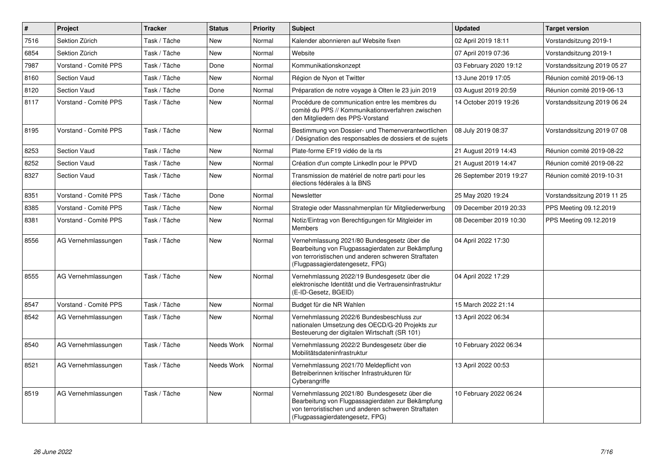| $\vert$ # | Project               | <b>Tracker</b> | <b>Status</b> | <b>Priority</b> | <b>Subject</b>                                                                                                                                                                              | <b>Updated</b>          | <b>Target version</b>       |
|-----------|-----------------------|----------------|---------------|-----------------|---------------------------------------------------------------------------------------------------------------------------------------------------------------------------------------------|-------------------------|-----------------------------|
| 7516      | Sektion Zürich        | Task / Tâche   | <b>New</b>    | Normal          | Kalender abonnieren auf Website fixen                                                                                                                                                       | 02 April 2019 18:11     | Vorstandsitzung 2019-1      |
| 6854      | Sektion Zürich        | Task / Tâche   | New           | Normal          | Website                                                                                                                                                                                     | 07 April 2019 07:36     | Vorstandsitzung 2019-1      |
| 7987      | Vorstand - Comité PPS | Task / Tâche   | Done          | Normal          | Kommunikationskonzept                                                                                                                                                                       | 03 February 2020 19:12  | Vorstandssitzung 2019 05 27 |
| 8160      | <b>Section Vaud</b>   | Task / Tâche   | <b>New</b>    | Normal          | Région de Nyon et Twitter                                                                                                                                                                   | 13 June 2019 17:05      | Réunion comité 2019-06-13   |
| 8120      | <b>Section Vaud</b>   | Task / Tâche   | Done          | Normal          | Préparation de notre voyage à Olten le 23 juin 2019                                                                                                                                         | 03 August 2019 20:59    | Réunion comité 2019-06-13   |
| 8117      | Vorstand - Comité PPS | Task / Tâche   | New           | Normal          | Procédure de communication entre les membres du<br>comité du PPS // Kommunikationsverfahren zwischen<br>den Mitgliedern des PPS-Vorstand                                                    | 14 October 2019 19:26   | Vorstandssitzung 2019 06 24 |
| 8195      | Vorstand - Comité PPS | Task / Tâche   | <b>New</b>    | Normal          | Bestimmung von Dossier- und Themenverantwortlichen<br>Désignation des responsables de dossiers et de sujets                                                                                 | 08 July 2019 08:37      | Vorstandssitzung 2019 07 08 |
| 8253      | <b>Section Vaud</b>   | Task / Tâche   | <b>New</b>    | Normal          | Plate-forme EF19 vidéo de la rts                                                                                                                                                            | 21 August 2019 14:43    | Réunion comité 2019-08-22   |
| 8252      | <b>Section Vaud</b>   | Task / Tâche   | <b>New</b>    | Normal          | Création d'un compte LinkedIn pour le PPVD                                                                                                                                                  | 21 August 2019 14:47    | Réunion comité 2019-08-22   |
| 8327      | Section Vaud          | Task / Tâche   | New           | Normal          | Transmission de matériel de notre parti pour les<br>élections fédérales à la BNS                                                                                                            | 26 September 2019 19:27 | Réunion comité 2019-10-31   |
| 8351      | Vorstand - Comité PPS | Task / Tâche   | Done          | Normal          | Newsletter                                                                                                                                                                                  | 25 May 2020 19:24       | Vorstandssitzung 2019 11 25 |
| 8385      | Vorstand - Comité PPS | Task / Tâche   | New           | Normal          | Strategie oder Massnahmenplan für Mitgliederwerbung                                                                                                                                         | 09 December 2019 20:33  | PPS Meeting 09.12.2019      |
| 8381      | Vorstand - Comité PPS | Task / Tâche   | New           | Normal          | Notiz/Eintrag von Berechtigungen für Mitgleider im<br><b>Members</b>                                                                                                                        | 08 December 2019 10:30  | PPS Meeting 09.12.2019      |
| 8556      | AG Vernehmlassungen   | Task / Tâche   | <b>New</b>    | Normal          | Vernehmlassung 2021/80 Bundesgesetz über die<br>Bearbeitung von Flugpassagierdaten zur Bekämpfung<br>von terroristischen und anderen schweren Straftaten<br>(Flugpassagierdatengesetz, FPG) | 04 April 2022 17:30     |                             |
| 8555      | AG Vernehmlassungen   | Task / Tâche   | <b>New</b>    | Normal          | Vernehmlassung 2022/19 Bundesgesetz über die<br>elektronische Identität und die Vertrauensinfrastruktur<br>(E-ID-Gesetz, BGEID)                                                             | 04 April 2022 17:29     |                             |
| 8547      | Vorstand - Comité PPS | Task / Tâche   | <b>New</b>    | Normal          | Budget für die NR Wahlen                                                                                                                                                                    | 15 March 2022 21:14     |                             |
| 8542      | AG Vernehmlassungen   | Task / Tâche   | New           | Normal          | Vernehmlassung 2022/6 Bundesbeschluss zur<br>nationalen Umsetzung des OECD/G-20 Projekts zur<br>Besteuerung der digitalen Wirtschaft (SR 101)                                               | 13 April 2022 06:34     |                             |
| 8540      | AG Vernehmlassungen   | Task / Tâche   | Needs Work    | Normal          | Vernehmlassung 2022/2 Bundesgesetz über die<br>Mobilitätsdateninfrastruktur                                                                                                                 | 10 February 2022 06:34  |                             |
| 8521      | AG Vernehmlassungen   | Task / Tâche   | Needs Work    | Normal          | Vernehmlassung 2021/70 Meldepflicht von<br>Betreiberinnen kritischer Infrastrukturen für<br>Cyberangriffe                                                                                   | 13 April 2022 00:53     |                             |
| 8519      | AG Vernehmlassungen   | Task / Tâche   | <b>New</b>    | Normal          | Vernehmlassung 2021/80 Bundesgesetz über die<br>Bearbeitung von Flugpassagierdaten zur Bekämpfung<br>von terroristischen und anderen schweren Straftaten<br>(Flugpassagierdatengesetz, FPG) | 10 February 2022 06:24  |                             |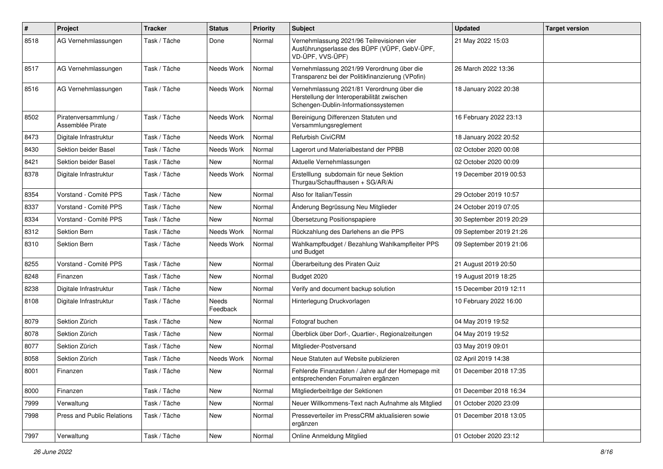| $\pmb{\#}$ | Project                                  | <b>Tracker</b> | <b>Status</b>     | <b>Priority</b> | <b>Subject</b>                                                                                                                   | <b>Updated</b>          | <b>Target version</b> |
|------------|------------------------------------------|----------------|-------------------|-----------------|----------------------------------------------------------------------------------------------------------------------------------|-------------------------|-----------------------|
| 8518       | AG Vernehmlassungen                      | Task / Tâche   | Done              | Normal          | Vernehmlassung 2021/96 Teilrevisionen vier<br>Ausführungserlasse des BÜPF (VÜPF, GebV-ÜPF,<br>VD-ÜPF, VVS-ÜPF)                   | 21 May 2022 15:03       |                       |
| 8517       | AG Vernehmlassungen                      | Task / Tâche   | Needs Work        | Normal          | Vernehmlassung 2021/99 Verordnung über die<br>Transparenz bei der Politikfinanzierung (VPofin)                                   | 26 March 2022 13:36     |                       |
| 8516       | AG Vernehmlassungen                      | Task / Tâche   | Needs Work        | Normal          | Vernehmlassung 2021/81 Verordnung über die<br>Herstellung der Interoperabilität zwischen<br>Schengen-Dublin-Informationssystemen | 18 January 2022 20:38   |                       |
| 8502       | Piratenversammlung /<br>Assemblée Pirate | Task / Tâche   | Needs Work        | Normal          | Bereinigung Differenzen Statuten und<br>Versammlungsreglement                                                                    | 16 February 2022 23:13  |                       |
| 8473       | Digitale Infrastruktur                   | Task / Tâche   | Needs Work        | Normal          | Refurbish CiviCRM                                                                                                                | 18 January 2022 20:52   |                       |
| 8430       | Sektion beider Basel                     | Task / Tâche   | Needs Work        | Normal          | Lagerort und Materialbestand der PPBB                                                                                            | 02 October 2020 00:08   |                       |
| 8421       | Sektion beider Basel                     | Task / Tâche   | New               | Normal          | Aktuelle Vernehmlassungen                                                                                                        | 02 October 2020 00:09   |                       |
| 8378       | Digitale Infrastruktur                   | Task / Tâche   | Needs Work        | Normal          | Erstelllung subdomain für neue Sektion<br>Thurgau/Schauffhausen + SG/AR/Ai                                                       | 19 December 2019 00:53  |                       |
| 8354       | Vorstand - Comité PPS                    | Task / Tâche   | <b>New</b>        | Normal          | Also for Italian/Tessin                                                                                                          | 29 October 2019 10:57   |                       |
| 8337       | Vorstand - Comité PPS                    | Task / Tâche   | New               | Normal          | Änderung Begrüssung Neu Mitglieder                                                                                               | 24 October 2019 07:05   |                       |
| 8334       | Vorstand - Comité PPS                    | Task / Tâche   | New               | Normal          | Übersetzung Positionspapiere                                                                                                     | 30 September 2019 20:29 |                       |
| 8312       | Sektion Bern                             | Task / Tâche   | Needs Work        | Normal          | Rückzahlung des Darlehens an die PPS                                                                                             | 09 September 2019 21:26 |                       |
| 8310       | Sektion Bern                             | Task / Tâche   | Needs Work        | Normal          | Wahlkampfbudget / Bezahlung Wahlkampfleiter PPS<br>und Budget                                                                    | 09 September 2019 21:06 |                       |
| 8255       | Vorstand - Comité PPS                    | Task / Tâche   | New               | Normal          | Überarbeitung des Piraten Quiz                                                                                                   | 21 August 2019 20:50    |                       |
| 8248       | Finanzen                                 | Task / Tâche   | New               | Normal          | Budget 2020                                                                                                                      | 19 August 2019 18:25    |                       |
| 8238       | Digitale Infrastruktur                   | Task / Tâche   | <b>New</b>        | Normal          | Verify and document backup solution                                                                                              | 15 December 2019 12:11  |                       |
| 8108       | Digitale Infrastruktur                   | Task / Tâche   | Needs<br>Feedback | Normal          | Hinterlegung Druckvorlagen                                                                                                       | 10 February 2022 16:00  |                       |
| 8079       | Sektion Zürich                           | Task / Tâche   | New               | Normal          | Fotograf buchen                                                                                                                  | 04 May 2019 19:52       |                       |
| 8078       | Sektion Zürich                           | Task / Tâche   | New               | Normal          | Überblick über Dorf-, Quartier-, Regionalzeitungen                                                                               | 04 May 2019 19:52       |                       |
| 8077       | Sektion Zürich                           | Task / Tâche   | <b>New</b>        | Normal          | Mitglieder-Postversand                                                                                                           | 03 May 2019 09:01       |                       |
| 8058       | Sektion Zürich                           | Task / Tâche   | Needs Work        | Normal          | Neue Statuten auf Website publizieren                                                                                            | 02 April 2019 14:38     |                       |
| 8001       | Finanzen                                 | Task / Tâche   | New               | Normal          | Fehlende Finanzdaten / Jahre auf der Homepage mit<br>entsprechenden Forumalren ergänzen                                          | 01 December 2018 17:35  |                       |
| 8000       | Finanzen                                 | Task / Tâche   | New               | Normal          | Mitgliederbeiträge der Sektionen                                                                                                 | 01 December 2018 16:34  |                       |
| 7999       | Verwaltung                               | Task / Tâche   | New               | Normal          | Neuer Willkommens-Text nach Aufnahme als Mitglied                                                                                | 01 October 2020 23:09   |                       |
| 7998       | Press and Public Relations               | Task / Tâche   | New               | Normal          | Presseverteiler im PressCRM aktualisieren sowie<br>ergänzen                                                                      | 01 December 2018 13:05  |                       |
| 7997       | Verwaltung                               | Task / Tâche   | New               | Normal          | Online Anmeldung Mitglied                                                                                                        | 01 October 2020 23:12   |                       |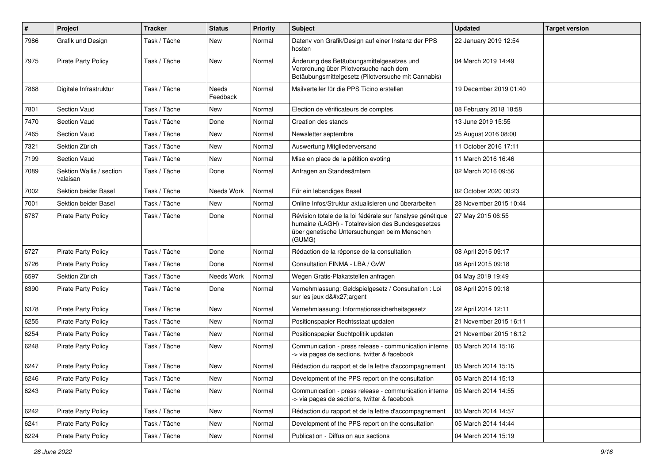| $\sharp$ | Project                              | <b>Tracker</b> | <b>Status</b>     | <b>Priority</b> | <b>Subject</b>                                                                                                                                                            | <b>Updated</b>         | <b>Target version</b> |
|----------|--------------------------------------|----------------|-------------------|-----------------|---------------------------------------------------------------------------------------------------------------------------------------------------------------------------|------------------------|-----------------------|
| 7986     | Grafik und Design                    | Task / Tâche   | New               | Normal          | Datenv von Grafik/Design auf einer Instanz der PPS<br>hosten                                                                                                              | 22 January 2019 12:54  |                       |
| 7975     | <b>Pirate Party Policy</b>           | Task / Tâche   | New               | Normal          | Änderung des Betäubungsmittelgesetzes und<br>Verordnung über Pilotversuche nach dem<br>Betäubungsmittelgesetz (Pilotversuche mit Cannabis)                                | 04 March 2019 14:49    |                       |
| 7868     | Digitale Infrastruktur               | Task / Tâche   | Needs<br>Feedback | Normal          | Mailverteiler für die PPS Ticino erstellen                                                                                                                                | 19 December 2019 01:40 |                       |
| 7801     | Section Vaud                         | Task / Tâche   | New               | Normal          | Election de vérificateurs de comptes                                                                                                                                      | 08 February 2018 18:58 |                       |
| 7470     | Section Vaud                         | Task / Tâche   | Done              | Normal          | Creation des stands                                                                                                                                                       | 13 June 2019 15:55     |                       |
| 7465     | Section Vaud                         | Task / Tâche   | <b>New</b>        | Normal          | Newsletter septembre                                                                                                                                                      | 25 August 2016 08:00   |                       |
| 7321     | Sektion Zürich                       | Task / Tâche   | New               | Normal          | Auswertung Mitgliederversand                                                                                                                                              | 11 October 2016 17:11  |                       |
| 7199     | Section Vaud                         | Task / Tâche   | New               | Normal          | Mise en place de la pétition evoting                                                                                                                                      | 11 March 2016 16:46    |                       |
| 7089     | Sektion Wallis / section<br>valaisan | Task / Tâche   | Done              | Normal          | Anfragen an Standesämtern                                                                                                                                                 | 02 March 2016 09:56    |                       |
| 7002     | Sektion beider Basel                 | Task / Tâche   | Needs Work        | Normal          | Für ein lebendiges Basel                                                                                                                                                  | 02 October 2020 00:23  |                       |
| 7001     | Sektion beider Basel                 | Task / Tâche   | New               | Normal          | Online Infos/Struktur aktualisieren und überarbeiten                                                                                                                      | 28 November 2015 10:44 |                       |
| 6787     | Pirate Party Policy                  | Task / Tâche   | Done              | Normal          | Révision totale de la loi fédérale sur l'analyse génétique<br>humaine (LAGH) - Totalrevision des Bundesgesetzes<br>über genetische Untersuchungen beim Menschen<br>(GUMG) | 27 May 2015 06:55      |                       |
| 6727     | <b>Pirate Party Policy</b>           | Task / Tâche   | Done              | Normal          | Rédaction de la réponse de la consultation                                                                                                                                | 08 April 2015 09:17    |                       |
| 6726     | <b>Pirate Party Policy</b>           | Task / Tâche   | Done              | Normal          | Consultation FINMA - LBA / GvW                                                                                                                                            | 08 April 2015 09:18    |                       |
| 6597     | Sektion Zürich                       | Task / Tâche   | Needs Work        | Normal          | Wegen Gratis-Plakatstellen anfragen                                                                                                                                       | 04 May 2019 19:49      |                       |
| 6390     | <b>Pirate Party Policy</b>           | Task / Tâche   | Done              | Normal          | Vernehmlassung: Geldspielgesetz / Consultation : Loi<br>sur les jeux d'argent                                                                                             | 08 April 2015 09:18    |                       |
| 6378     | <b>Pirate Party Policy</b>           | Task / Tâche   | <b>New</b>        | Normal          | Vernehmlassung: Informationssicherheitsgesetz                                                                                                                             | 22 April 2014 12:11    |                       |
| 6255     | <b>Pirate Party Policy</b>           | Task / Tâche   | New               | Normal          | Positionspapier Rechtsstaat updaten                                                                                                                                       | 21 November 2015 16:11 |                       |
| 6254     | <b>Pirate Party Policy</b>           | Task / Tâche   | <b>New</b>        | Normal          | Positionspapier Suchtpolitik updaten                                                                                                                                      | 21 November 2015 16:12 |                       |
| 6248     | <b>Pirate Party Policy</b>           | Task / Tâche   | <b>New</b>        | Normal          | Communication - press release - communication interne<br>-> via pages de sections, twitter & facebook                                                                     | 05 March 2014 15:16    |                       |
| 6247     | <b>Pirate Party Policy</b>           | Task / Tâche   | New               | Normal          | Rédaction du rapport et de la lettre d'accompagnement                                                                                                                     | 05 March 2014 15:15    |                       |
| 6246     | <b>Pirate Party Policy</b>           | Task / Tâche   | New               | Normal          | Development of the PPS report on the consultation                                                                                                                         | 05 March 2014 15:13    |                       |
| 6243     | Pirate Party Policy                  | Task / Tâche   | New               | Normal          | Communication - press release - communication interne<br>-> via pages de sections, twitter & facebook                                                                     | 05 March 2014 14:55    |                       |
| 6242     | <b>Pirate Party Policy</b>           | Task / Tâche   | New               | Normal          | Rédaction du rapport et de la lettre d'accompagnement                                                                                                                     | 05 March 2014 14:57    |                       |
| 6241     | Pirate Party Policy                  | Task / Tâche   | New               | Normal          | Development of the PPS report on the consultation                                                                                                                         | 05 March 2014 14:44    |                       |
| 6224     | Pirate Party Policy                  | Task / Tâche   | New               | Normal          | Publication - Diffusion aux sections                                                                                                                                      | 04 March 2014 15:19    |                       |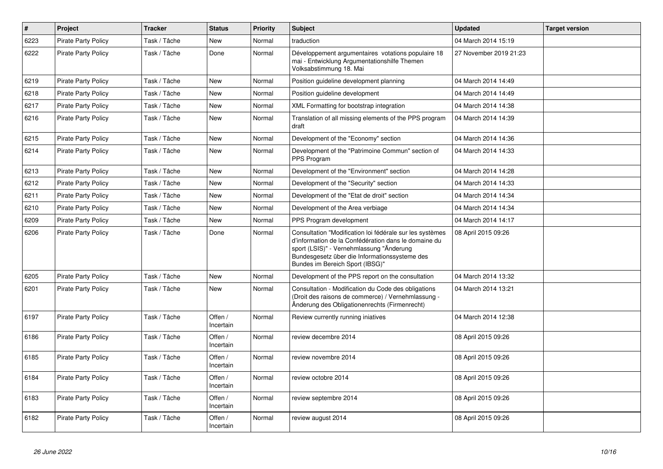| $\pmb{\#}$ | Project                    | <b>Tracker</b> | <b>Status</b>        | <b>Priority</b> | <b>Subject</b>                                                                                                                                                                                                                                   | <b>Updated</b>         | <b>Target version</b> |
|------------|----------------------------|----------------|----------------------|-----------------|--------------------------------------------------------------------------------------------------------------------------------------------------------------------------------------------------------------------------------------------------|------------------------|-----------------------|
| 6223       | <b>Pirate Party Policy</b> | Task / Tâche   | New                  | Normal          | traduction                                                                                                                                                                                                                                       | 04 March 2014 15:19    |                       |
| 6222       | <b>Pirate Party Policy</b> | Task / Tâche   | Done                 | Normal          | Développement argumentaires votations populaire 18<br>mai - Entwicklung Argumentationshilfe Themen<br>Volksabstimmung 18. Mai                                                                                                                    | 27 November 2019 21:23 |                       |
| 6219       | <b>Pirate Party Policy</b> | Task / Tâche   | New                  | Normal          | Position guideline development planning                                                                                                                                                                                                          | 04 March 2014 14:49    |                       |
| 6218       | <b>Pirate Party Policy</b> | Task / Tâche   | <b>New</b>           | Normal          | Position guideline development                                                                                                                                                                                                                   | 04 March 2014 14:49    |                       |
| 6217       | <b>Pirate Party Policy</b> | Task / Tâche   | <b>New</b>           | Normal          | XML Formatting for bootstrap integration                                                                                                                                                                                                         | 04 March 2014 14:38    |                       |
| 6216       | <b>Pirate Party Policy</b> | Task / Tâche   | <b>New</b>           | Normal          | Translation of all missing elements of the PPS program<br>draft                                                                                                                                                                                  | 04 March 2014 14:39    |                       |
| 6215       | <b>Pirate Party Policy</b> | Task / Tâche   | New                  | Normal          | Development of the "Economy" section                                                                                                                                                                                                             | 04 March 2014 14:36    |                       |
| 6214       | <b>Pirate Party Policy</b> | Task / Tâche   | <b>New</b>           | Normal          | Development of the "Patrimoine Commun" section of<br>PPS Program                                                                                                                                                                                 | 04 March 2014 14:33    |                       |
| 6213       | <b>Pirate Party Policy</b> | Task / Tâche   | New                  | Normal          | Development of the "Environment" section                                                                                                                                                                                                         | 04 March 2014 14:28    |                       |
| 6212       | <b>Pirate Party Policy</b> | Task / Tâche   | New                  | Normal          | Development of the "Security" section                                                                                                                                                                                                            | 04 March 2014 14:33    |                       |
| 6211       | <b>Pirate Party Policy</b> | Task / Tâche   | <b>New</b>           | Normal          | Development of the "Etat de droit" section                                                                                                                                                                                                       | 04 March 2014 14:34    |                       |
| 6210       | <b>Pirate Party Policy</b> | Task / Tâche   | New                  | Normal          | Development of the Area verbiage                                                                                                                                                                                                                 | 04 March 2014 14:34    |                       |
| 6209       | <b>Pirate Party Policy</b> | Task / Tâche   | New                  | Normal          | PPS Program development                                                                                                                                                                                                                          | 04 March 2014 14:17    |                       |
| 6206       | <b>Pirate Party Policy</b> | Task / Tâche   | Done                 | Normal          | Consultation "Modification loi fédérale sur les systèmes<br>d'information de la Confédération dans le domaine du<br>sport (LSIS)" - Vernehmlassung "Änderung<br>Bundesgesetz über die Informationssysteme des<br>Bundes im Bereich Sport (IBSG)" | 08 April 2015 09:26    |                       |
| 6205       | <b>Pirate Party Policy</b> | Task / Tâche   | New                  | Normal          | Development of the PPS report on the consultation                                                                                                                                                                                                | 04 March 2014 13:32    |                       |
| 6201       | Pirate Party Policy        | Task / Tâche   | <b>New</b>           | Normal          | Consultation - Modification du Code des obligations<br>(Droit des raisons de commerce) / Vernehmlassung -<br>Änderung des Obligationenrechts (Firmenrecht)                                                                                       | 04 March 2014 13:21    |                       |
| 6197       | <b>Pirate Party Policy</b> | Task / Tâche   | Offen /<br>Incertain | Normal          | Review currently running iniatives                                                                                                                                                                                                               | 04 March 2014 12:38    |                       |
| 6186       | <b>Pirate Party Policy</b> | Task / Tâche   | Offen /<br>Incertain | Normal          | review decembre 2014                                                                                                                                                                                                                             | 08 April 2015 09:26    |                       |
| 6185       | <b>Pirate Party Policy</b> | Task / Tâche   | Offen /<br>Incertain | Normal          | review novembre 2014                                                                                                                                                                                                                             | 08 April 2015 09:26    |                       |
| 6184       | <b>Pirate Party Policy</b> | Task / Tâche   | Offen /<br>Incertain | Normal          | review octobre 2014                                                                                                                                                                                                                              | 08 April 2015 09:26    |                       |
| 6183       | <b>Pirate Party Policy</b> | Task / Tâche   | Offen /<br>Incertain | Normal          | review septembre 2014                                                                                                                                                                                                                            | 08 April 2015 09:26    |                       |
| 6182       | <b>Pirate Party Policy</b> | Task / Tâche   | Offen /<br>Incertain | Normal          | review august 2014                                                                                                                                                                                                                               | 08 April 2015 09:26    |                       |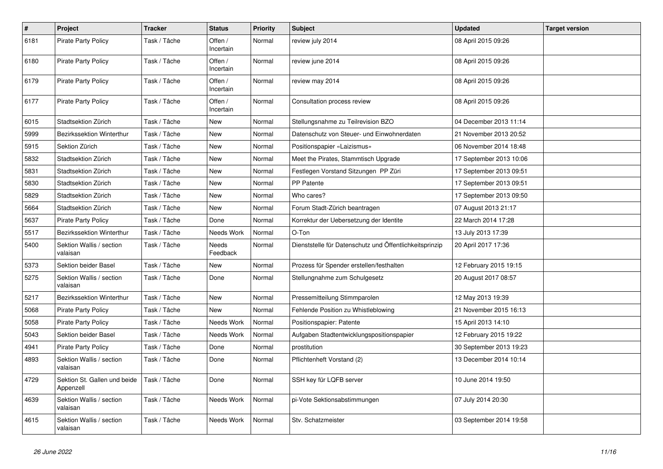| $\#$ | Project                                   | <b>Tracker</b> | <b>Status</b>            | <b>Priority</b> | <b>Subject</b>                                          | <b>Updated</b>          | <b>Target version</b> |
|------|-------------------------------------------|----------------|--------------------------|-----------------|---------------------------------------------------------|-------------------------|-----------------------|
| 6181 | <b>Pirate Party Policy</b>                | Task / Tâche   | Offen /<br>Incertain     | Normal          | review july 2014                                        | 08 April 2015 09:26     |                       |
| 6180 | <b>Pirate Party Policy</b>                | Task / Tâche   | Offen /<br>Incertain     | Normal          | review june 2014                                        | 08 April 2015 09:26     |                       |
| 6179 | <b>Pirate Party Policy</b>                | Task / Tâche   | Offen /<br>Incertain     | Normal          | review may 2014                                         | 08 April 2015 09:26     |                       |
| 6177 | Pirate Party Policy                       | Task / Tâche   | Offen /<br>Incertain     | Normal          | Consultation process review                             | 08 April 2015 09:26     |                       |
| 6015 | Stadtsektion Zürich                       | Task / Tâche   | New                      | Normal          | Stellungsnahme zu Teilrevision BZO                      | 04 December 2013 11:14  |                       |
| 5999 | Bezirkssektion Winterthur                 | Task / Tâche   | <b>New</b>               | Normal          | Datenschutz von Steuer- und Einwohnerdaten              | 21 November 2013 20:52  |                       |
| 5915 | Sektion Zürich                            | Task / Tâche   | <b>New</b>               | Normal          | Positionspapier «Laizismus»                             | 06 November 2014 18:48  |                       |
| 5832 | Stadtsektion Zürich                       | Task / Tâche   | New                      | Normal          | Meet the Pirates, Stammtisch Upgrade                    | 17 September 2013 10:06 |                       |
| 5831 | Stadtsektion Zürich                       | Task / Tâche   | New                      | Normal          | Festlegen Vorstand Sitzungen PP Züri                    | 17 September 2013 09:51 |                       |
| 5830 | Stadtsektion Zürich                       | Task / Tâche   | <b>New</b>               | Normal          | <b>PP Patente</b>                                       | 17 September 2013 09:51 |                       |
| 5829 | Stadtsektion Zürich                       | Task / Tâche   | <b>New</b>               | Normal          | Who cares?                                              | 17 September 2013 09:50 |                       |
| 5664 | Stadtsektion Zürich                       | Task / Tâche   | <b>New</b>               | Normal          | Forum Stadt-Zürich beantragen                           | 07 August 2013 21:17    |                       |
| 5637 | <b>Pirate Party Policy</b>                | Task / Tâche   | Done                     | Normal          | Korrektur der Uebersetzung der Identite                 | 22 March 2014 17:28     |                       |
| 5517 | Bezirkssektion Winterthur                 | Task / Tâche   | Needs Work               | Normal          | O-Ton                                                   | 13 July 2013 17:39      |                       |
| 5400 | Sektion Wallis / section<br>valaisan      | Task / Tâche   | <b>Needs</b><br>Feedback | Normal          | Dienststelle für Datenschutz und Öffentlichkeitsprinzip | 20 April 2017 17:36     |                       |
| 5373 | Sektion beider Basel                      | Task / Tâche   | New                      | Normal          | Prozess für Spender erstellen/festhalten                | 12 February 2015 19:15  |                       |
| 5275 | Sektion Wallis / section<br>valaisan      | Task / Tâche   | Done                     | Normal          | Stellungnahme zum Schulgesetz                           | 20 August 2017 08:57    |                       |
| 5217 | Bezirkssektion Winterthur                 | Task / Tâche   | <b>New</b>               | Normal          | Pressemitteilung Stimmparolen                           | 12 May 2013 19:39       |                       |
| 5068 | <b>Pirate Party Policy</b>                | Task / Tâche   | <b>New</b>               | Normal          | Fehlende Position zu Whistleblowing                     | 21 November 2015 16:13  |                       |
| 5058 | <b>Pirate Party Policy</b>                | Task / Tâche   | Needs Work               | Normal          | Positionspapier: Patente                                | 15 April 2013 14:10     |                       |
| 5043 | Sektion beider Basel                      | Task / Tâche   | Needs Work               | Normal          | Aufgaben Stadtentwicklungspositionspapier               | 12 February 2015 19:22  |                       |
| 4941 | <b>Pirate Party Policy</b>                | Task / Tâche   | Done                     | Normal          | prostitution                                            | 30 September 2013 19:23 |                       |
| 4893 | Sektion Wallis / section<br>valaisan      | Task / Tâche   | Done                     | Normal          | Pflichtenheft Vorstand (2)                              | 13 December 2014 10:14  |                       |
| 4729 | Sektion St. Gallen und beide<br>Appenzell | Task / Tâche   | Done                     | Normal          | SSH key für LQFB server                                 | 10 June 2014 19:50      |                       |
| 4639 | Sektion Wallis / section<br>valaisan      | Task / Tâche   | Needs Work               | Normal          | pi-Vote Sektionsabstimmungen                            | 07 July 2014 20:30      |                       |
| 4615 | Sektion Wallis / section<br>valaisan      | Task / Tâche   | Needs Work               | Normal          | Stv. Schatzmeister                                      | 03 September 2014 19:58 |                       |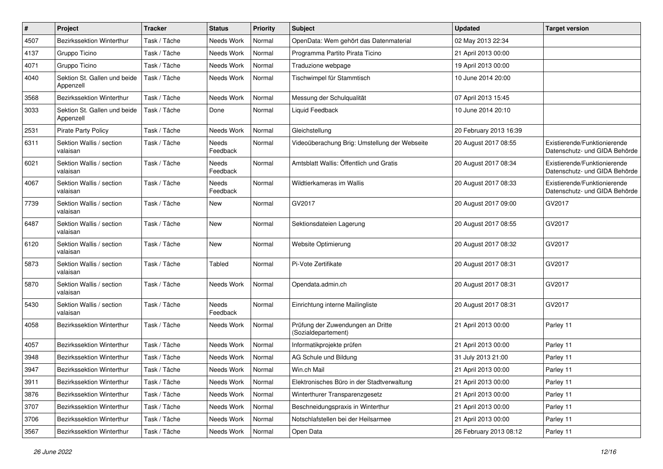| $\sharp$ | Project                                   | <b>Tracker</b> | <b>Status</b>     | <b>Priority</b> | Subject                                                  | <b>Updated</b>         | <b>Target version</b>                                         |
|----------|-------------------------------------------|----------------|-------------------|-----------------|----------------------------------------------------------|------------------------|---------------------------------------------------------------|
| 4507     | Bezirkssektion Winterthur                 | Task / Tâche   | Needs Work        | Normal          | OpenData: Wem gehört das Datenmaterial                   | 02 May 2013 22:34      |                                                               |
| 4137     | Gruppo Ticino                             | Task / Tâche   | Needs Work        | Normal          | Programma Partito Pirata Ticino                          | 21 April 2013 00:00    |                                                               |
| 4071     | Gruppo Ticino                             | Task / Tâche   | Needs Work        | Normal          | Traduzione webpage                                       | 19 April 2013 00:00    |                                                               |
| 4040     | Sektion St. Gallen und beide<br>Appenzell | Task / Tâche   | Needs Work        | Normal          | Tischwimpel für Stammtisch                               | 10 June 2014 20:00     |                                                               |
| 3568     | Bezirkssektion Winterthur                 | Task / Tâche   | Needs Work        | Normal          | Messung der Schulqualität                                | 07 April 2013 15:45    |                                                               |
| 3033     | Sektion St. Gallen und beide<br>Appenzell | Task / Tâche   | Done              | Normal          | Liquid Feedback                                          | 10 June 2014 20:10     |                                                               |
| 2531     | <b>Pirate Party Policy</b>                | Task / Tâche   | Needs Work        | Normal          | Gleichstellung                                           | 20 February 2013 16:39 |                                                               |
| 6311     | Sektion Wallis / section<br>valaisan      | Task / Tâche   | Needs<br>Feedback | Normal          | Videoüberachung Brig: Umstellung der Webseite            | 20 August 2017 08:55   | Existierende/Funktionierende<br>Datenschutz- und GIDA Behörde |
| 6021     | Sektion Wallis / section<br>valaisan      | Task / Tâche   | Needs<br>Feedback | Normal          | Amtsblatt Wallis: Öffentlich und Gratis                  | 20 August 2017 08:34   | Existierende/Funktionierende<br>Datenschutz- und GIDA Behörde |
| 4067     | Sektion Wallis / section<br>valaisan      | Task / Tâche   | Needs<br>Feedback | Normal          | Wildtierkameras im Wallis                                | 20 August 2017 08:33   | Existierende/Funktionierende<br>Datenschutz- und GIDA Behörde |
| 7739     | Sektion Wallis / section<br>valaisan      | Task / Tâche   | New               | Normal          | GV2017                                                   | 20 August 2017 09:00   | GV2017                                                        |
| 6487     | Sektion Wallis / section<br>valaisan      | Task / Tâche   | <b>New</b>        | Normal          | Sektionsdateien Lagerung                                 | 20 August 2017 08:55   | GV2017                                                        |
| 6120     | Sektion Wallis / section<br>valaisan      | Task / Tâche   | <b>New</b>        | Normal          | Website Optimierung                                      | 20 August 2017 08:32   | GV2017                                                        |
| 5873     | Sektion Wallis / section<br>valaisan      | Task / Tâche   | Tabled            | Normal          | Pi-Vote Zertifikate                                      | 20 August 2017 08:31   | GV2017                                                        |
| 5870     | Sektion Wallis / section<br>valaisan      | Task / Tâche   | Needs Work        | Normal          | Opendata.admin.ch                                        | 20 August 2017 08:31   | GV2017                                                        |
| 5430     | Sektion Wallis / section<br>valaisan      | Task / Tâche   | Needs<br>Feedback | Normal          | Einrichtung interne Mailingliste                         | 20 August 2017 08:31   | GV2017                                                        |
| 4058     | Bezirkssektion Winterthur                 | Task / Tâche   | Needs Work        | Normal          | Prüfung der Zuwendungen an Dritte<br>(Sozialdepartement) | 21 April 2013 00:00    | Parley 11                                                     |
| 4057     | <b>Bezirkssektion Winterthur</b>          | Task / Tâche   | Needs Work        | Normal          | Informatikprojekte prüfen                                | 21 April 2013 00:00    | Parley 11                                                     |
| 3948     | Bezirkssektion Winterthur                 | Task / Tâche   | Needs Work        | Normal          | AG Schule und Bildung                                    | 31 July 2013 21:00     | Parley 11                                                     |
| 3947     | Bezirkssektion Winterthur                 | Task / Tâche   | Needs Work        | Normal          | Win.ch Mail                                              | 21 April 2013 00:00    | Parley 11                                                     |
| 3911     | Bezirkssektion Winterthur                 | Task / Tâche   | Needs Work        | Normal          | Elektronisches Büro in der Stadtverwaltung               | 21 April 2013 00:00    | Parley 11                                                     |
| 3876     | Bezirkssektion Winterthur                 | Task / Tâche   | Needs Work        | Normal          | Winterthurer Transparenzgesetz                           | 21 April 2013 00:00    | Parley 11                                                     |
| 3707     | Bezirkssektion Winterthur                 | Task / Tâche   | Needs Work        | Normal          | Beschneidungspraxis in Winterthur                        | 21 April 2013 00:00    | Parley 11                                                     |
| 3706     | Bezirkssektion Winterthur                 | Task / Tâche   | Needs Work        | Normal          | Notschlafstellen bei der Heilsarmee                      | 21 April 2013 00:00    | Parley 11                                                     |
| 3567     | Bezirkssektion Winterthur                 | Task / Tâche   | Needs Work        | Normal          | Open Data                                                | 26 February 2013 08:12 | Parley 11                                                     |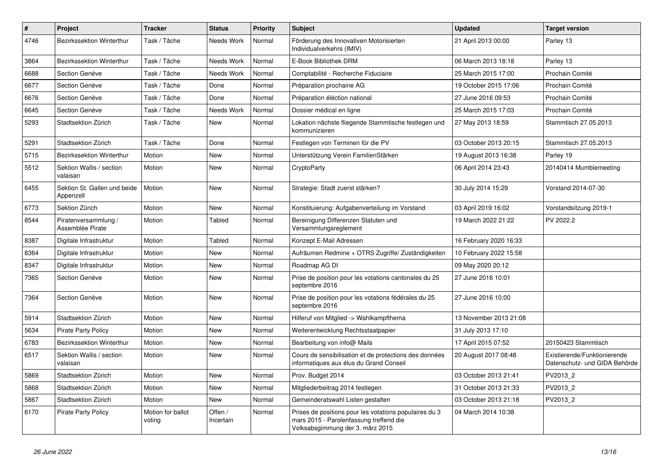| $\pmb{\#}$ | Project                                   | <b>Tracker</b>              | <b>Status</b>        | <b>Priority</b> | <b>Subject</b>                                                                                                                        | <b>Updated</b>         | <b>Target version</b>                                         |
|------------|-------------------------------------------|-----------------------------|----------------------|-----------------|---------------------------------------------------------------------------------------------------------------------------------------|------------------------|---------------------------------------------------------------|
| 4746       | Bezirkssektion Winterthur                 | Task / Tâche                | Needs Work           | Normal          | Förderung des Innovativen Motorisierten<br>Individualverkehrs (IMIV)                                                                  | 21 April 2013 00:00    | Parley 13                                                     |
| 3864       | Bezirkssektion Winterthur                 | Task / Tâche                | Needs Work           | Normal          | E-Book Bibliothek DRM                                                                                                                 | 06 March 2013 18:18    | Parley 13                                                     |
| 6688       | Section Genève                            | Task / Tâche                | Needs Work           | Normal          | Comptabilité - Recherche Fiduciaire                                                                                                   | 25 March 2015 17:00    | Prochain Comité                                               |
| 6677       | Section Genève                            | Task / Tâche                | Done                 | Normal          | Préparation prochaine AG                                                                                                              | 19 October 2015 17:06  | Prochain Comité                                               |
| 6676       | Section Genève                            | Task / Tâche                | Done                 | Normal          | Préparation éléction national                                                                                                         | 27 June 2016 09:53     | Prochain Comité                                               |
| 6645       | Section Genève                            | Task / Tâche                | Needs Work           | Normal          | Dossier médical en ligne                                                                                                              | 25 March 2015 17:03    | Prochain Comité                                               |
| 5293       | Stadtsektion Zürich                       | Task / Tâche                | <b>New</b>           | Normal          | Lokation nächste fliegende Stammtische festlegen und<br>kommunizieren                                                                 | 27 May 2013 18:59      | Stammtisch 27.05.2013                                         |
| 5291       | Stadtsektion Zürich                       | Task / Tâche                | Done                 | Normal          | Festlegen von Terminen für die PV                                                                                                     | 03 October 2013 20:15  | Stammtisch 27.05.2013                                         |
| 5715       | Bezirkssektion Winterthur                 | Motion                      | <b>New</b>           | Normal          | Unterstützung Verein FamilienStärken                                                                                                  | 19 August 2013 16:38   | Parley 19                                                     |
| 5512       | Sektion Wallis / section<br>valaisan      | Motion                      | New                  | Normal          | CryptoParty                                                                                                                           | 06 April 2014 23:43    | 20140414 Mumblemeeting                                        |
| 6455       | Sektion St. Gallen und beide<br>Appenzell | Motion                      | New                  | Normal          | Strategie: Stadt zuerst stärken?                                                                                                      | 30 July 2014 15:29     | Vorstand 2014-07-30                                           |
| 6773       | Sektion Zürich                            | Motion                      | <b>New</b>           | Normal          | Konstituierung: Aufgabenverteilung im Vorstand                                                                                        | 03 April 2019 16:02    | Vorstandsitzung 2019-1                                        |
| 8544       | Piratenversammlung /<br>Assemblée Pirate  | Motion                      | Tabled               | Normal          | Bereinigung Differenzen Statuten und<br>Versammlungsreglement                                                                         | 19 March 2022 21:22    | PV 2022.2                                                     |
| 8387       | Digitale Infrastruktur                    | Motion                      | Tabled               | Normal          | Konzept E-Mail Adressen                                                                                                               | 16 February 2020 16:33 |                                                               |
| 8364       | Digitale Infrastruktur                    | Motion                      | New                  | Normal          | Aufräumen Redmine + OTRS Zugriffe/Zuständigkeiten                                                                                     | 10 February 2022 15:58 |                                                               |
| 8347       | Digitale Infrastruktur                    | Motion                      | <b>New</b>           | Normal          | Roadmap AG DI                                                                                                                         | 09 May 2020 20:12      |                                                               |
| 7365       | Section Genève                            | Motion                      | <b>New</b>           | Normal          | Prise de position pour les votations cantonales du 25<br>septembre 2016                                                               | 27 June 2016 10:01     |                                                               |
| 7364       | Section Genève                            | Motion                      | New                  | Normal          | Prise de position pour les votations fédérales du 25<br>septembre 2016                                                                | 27 June 2016 10:00     |                                                               |
| 5914       | Stadtsektion Zürich                       | Motion                      | New                  | Normal          | Hilferuf von Mitglied -> Wahlkampfthema                                                                                               | 13 November 2013 21:08 |                                                               |
| 5634       | <b>Pirate Party Policy</b>                | Motion                      | New                  | Normal          | Weiterentwicklung Rechtsstaatpapier                                                                                                   | 31 July 2013 17:10     |                                                               |
| 6783       | Bezirkssektion Winterthur                 | Motion                      | New                  | Normal          | Bearbeitung von info@ Mails                                                                                                           | 17 April 2015 07:52    | 20150423 Stammtisch                                           |
| 6517       | Sektion Wallis / section<br>valaisan      | Motion                      | New                  | Normal          | Cours de sensibilisation et de protections des données<br>informatiques aux élus du Grand Conseil                                     | 20 August 2017 08:48   | Existierende/Funktionierende<br>Datenschutz- und GIDA Behörde |
| 5869       | Stadtsektion Zürich                       | Motion                      | <b>New</b>           | Normal          | Prov. Budget 2014                                                                                                                     | 03 October 2013 21:41  | PV2013 2                                                      |
| 5868       | Stadtsektion Zürich                       | Motion                      | <b>New</b>           | Normal          | Mitgliederbeitrag 2014 festlegen                                                                                                      | 31 October 2013 21:33  | PV2013_2                                                      |
| 5867       | Stadtsektion Zürich                       | Motion                      | New                  | Normal          | Gemeinderatswahl Listen gestalten                                                                                                     | 03 October 2013 21:18  | PV2013 2                                                      |
| 6170       | <b>Pirate Party Policy</b>                | Motion for ballot<br>voting | Offen /<br>Incertain | Normal          | Prises de positions pour les votations populaires du 3<br>mars 2015 - Parolenfassung treffend die<br>Volksabsgimmung der 3. märz 2015 | 04 March 2014 10:38    |                                                               |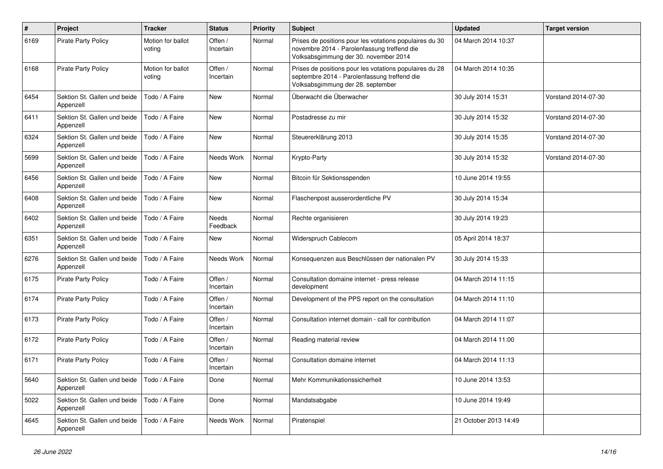| $\sharp$ | Project                                   | <b>Tracker</b>              | <b>Status</b>            | <b>Priority</b> | <b>Subject</b>                                                                                                                                  | <b>Updated</b>        | <b>Target version</b> |
|----------|-------------------------------------------|-----------------------------|--------------------------|-----------------|-------------------------------------------------------------------------------------------------------------------------------------------------|-----------------------|-----------------------|
| 6169     | <b>Pirate Party Policy</b>                | Motion for ballot<br>voting | Offen /<br>Incertain     | Normal          | Prises de positions pour les votations populaires du 30<br>novembre 2014 - Parolenfassung treffend die<br>Volksabsgimmung der 30. november 2014 | 04 March 2014 10:37   |                       |
| 6168     | <b>Pirate Party Policy</b>                | Motion for ballot<br>voting | Offen /<br>Incertain     | Normal          | Prises de positions pour les votations populaires du 28<br>septembre 2014 - Parolenfassung treffend die<br>Volksabsgimmung der 28. september    | 04 March 2014 10:35   |                       |
| 6454     | Sektion St. Gallen und beide<br>Appenzell | Todo / A Faire              | <b>New</b>               | Normal          | Überwacht die Überwacher                                                                                                                        | 30 July 2014 15:31    | Vorstand 2014-07-30   |
| 6411     | Sektion St. Gallen und beide<br>Appenzell | Todo / A Faire              | <b>New</b>               | Normal          | Postadresse zu mir                                                                                                                              | 30 July 2014 15:32    | Vorstand 2014-07-30   |
| 6324     | Sektion St. Gallen und beide<br>Appenzell | Todo / A Faire              | <b>New</b>               | Normal          | Steuererklärung 2013                                                                                                                            | 30 July 2014 15:35    | Vorstand 2014-07-30   |
| 5699     | Sektion St. Gallen und beide<br>Appenzell | Todo / A Faire              | Needs Work               | Normal          | Krypto-Party                                                                                                                                    | 30 July 2014 15:32    | Vorstand 2014-07-30   |
| 6456     | Sektion St. Gallen und beide<br>Appenzell | Todo / A Faire              | <b>New</b>               | Normal          | Bitcoin für Sektionsspenden                                                                                                                     | 10 June 2014 19:55    |                       |
| 6408     | Sektion St. Gallen und beide<br>Appenzell | Todo / A Faire              | <b>New</b>               | Normal          | Flaschenpost ausserordentliche PV                                                                                                               | 30 July 2014 15:34    |                       |
| 6402     | Sektion St. Gallen und beide<br>Appenzell | Todo / A Faire              | <b>Needs</b><br>Feedback | Normal          | Rechte organisieren                                                                                                                             | 30 July 2014 19:23    |                       |
| 6351     | Sektion St. Gallen und beide<br>Appenzell | Todo / A Faire              | <b>New</b>               | Normal          | Widerspruch Cablecom                                                                                                                            | 05 April 2014 18:37   |                       |
| 6276     | Sektion St. Gallen und beide<br>Appenzell | Todo / A Faire              | Needs Work               | Normal          | Konsequenzen aus Beschlüssen der nationalen PV                                                                                                  | 30 July 2014 15:33    |                       |
| 6175     | <b>Pirate Party Policy</b>                | Todo / A Faire              | Offen /<br>Incertain     | Normal          | Consultation domaine internet - press release<br>development                                                                                    | 04 March 2014 11:15   |                       |
| 6174     | <b>Pirate Party Policy</b>                | Todo / A Faire              | Offen /<br>Incertain     | Normal          | Development of the PPS report on the consultation                                                                                               | 04 March 2014 11:10   |                       |
| 6173     | <b>Pirate Party Policy</b>                | Todo / A Faire              | Offen /<br>Incertain     | Normal          | Consultation internet domain - call for contribution                                                                                            | 04 March 2014 11:07   |                       |
| 6172     | <b>Pirate Party Policy</b>                | Todo / A Faire              | Offen /<br>Incertain     | Normal          | Reading material review                                                                                                                         | 04 March 2014 11:00   |                       |
| 6171     | <b>Pirate Party Policy</b>                | Todo / A Faire              | Offen /<br>Incertain     | Normal          | Consultation domaine internet                                                                                                                   | 04 March 2014 11:13   |                       |
| 5640     | Sektion St. Gallen und beide<br>Appenzell | Todo / A Faire              | Done                     | Normal          | Mehr Kommunikationssicherheit                                                                                                                   | 10 June 2014 13:53    |                       |
| 5022     | Sektion St. Gallen und beide<br>Appenzell | Todo / A Faire              | Done                     | Normal          | Mandatsabgabe                                                                                                                                   | 10 June 2014 19:49    |                       |
| 4645     | Sektion St. Gallen und beide<br>Appenzell | Todo / A Faire              | Needs Work               | Normal          | Piratenspiel                                                                                                                                    | 21 October 2013 14:49 |                       |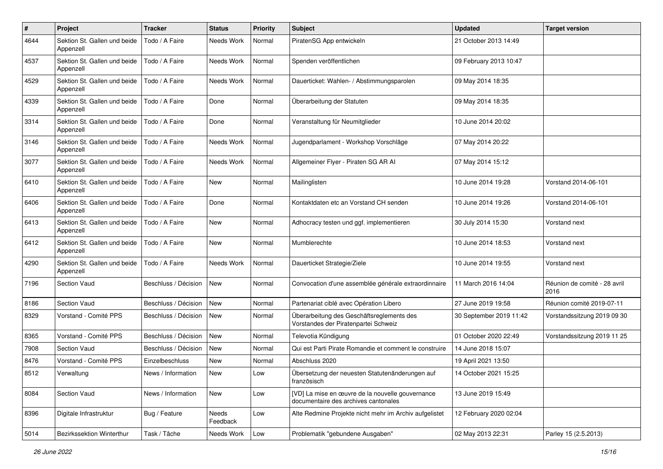| #    | Project                                   | <b>Tracker</b>       | <b>Status</b>     | <b>Priority</b> | <b>Subject</b>                                                                           | <b>Updated</b>          | <b>Target version</b>                |
|------|-------------------------------------------|----------------------|-------------------|-----------------|------------------------------------------------------------------------------------------|-------------------------|--------------------------------------|
| 4644 | Sektion St. Gallen und beide<br>Appenzell | Todo / A Faire       | Needs Work        | Normal          | PiratenSG App entwickeln                                                                 | 21 October 2013 14:49   |                                      |
| 4537 | Sektion St. Gallen und beide<br>Appenzell | Todo / A Faire       | Needs Work        | Normal          | Spenden veröffentlichen                                                                  | 09 February 2013 10:47  |                                      |
| 4529 | Sektion St. Gallen und beide<br>Appenzell | Todo / A Faire       | Needs Work        | Normal          | Dauerticket: Wahlen- / Abstimmungsparolen                                                | 09 May 2014 18:35       |                                      |
| 4339 | Sektion St. Gallen und beide<br>Appenzell | Todo / A Faire       | Done              | Normal          | Überarbeitung der Statuten                                                               | 09 May 2014 18:35       |                                      |
| 3314 | Sektion St. Gallen und beide<br>Appenzell | Todo / A Faire       | Done              | Normal          | Veranstaltung für Neumitglieder                                                          | 10 June 2014 20:02      |                                      |
| 3146 | Sektion St. Gallen und beide<br>Appenzell | Todo / A Faire       | Needs Work        | Normal          | Jugendparlament - Workshop Vorschläge                                                    | 07 May 2014 20:22       |                                      |
| 3077 | Sektion St. Gallen und beide<br>Appenzell | Todo / A Faire       | Needs Work        | Normal          | Allgemeiner Flyer - Piraten SG AR Al                                                     | 07 May 2014 15:12       |                                      |
| 6410 | Sektion St. Gallen und beide<br>Appenzell | Todo / A Faire       | New               | Normal          | Mailinglisten                                                                            | 10 June 2014 19:28      | Vorstand 2014-06-101                 |
| 6406 | Sektion St. Gallen und beide<br>Appenzell | Todo / A Faire       | Done              | Normal          | Kontaktdaten etc an Vorstand CH senden                                                   | 10 June 2014 19:26      | Vorstand 2014-06-101                 |
| 6413 | Sektion St. Gallen und beide<br>Appenzell | Todo / A Faire       | New               | Normal          | Adhocracy testen und ggf. implementieren                                                 | 30 July 2014 15:30      | Vorstand next                        |
| 6412 | Sektion St. Gallen und beide<br>Appenzell | Todo / A Faire       | <b>New</b>        | Normal          | Mumblerechte                                                                             | 10 June 2014 18:53      | Vorstand next                        |
| 4290 | Sektion St. Gallen und beide<br>Appenzell | Todo / A Faire       | Needs Work        | Normal          | Dauerticket Strategie/Ziele                                                              | 10 June 2014 19:55      | Vorstand next                        |
| 7196 | <b>Section Vaud</b>                       | Beschluss / Décision | <b>New</b>        | Normal          | Convocation d'une assemblée générale extraordinnaire                                     | 11 March 2016 14:04     | Réunion de comité - 28 avril<br>2016 |
| 8186 | Section Vaud                              | Beschluss / Décision | <b>New</b>        | Normal          | Partenariat ciblé avec Opération Libero                                                  | 27 June 2019 19:58      | Réunion comité 2019-07-11            |
| 8329 | Vorstand - Comité PPS                     | Beschluss / Décision | New               | Normal          | Überarbeitung des Geschäftsreglements des<br>Vorstandes der Piratenpartei Schweiz        | 30 September 2019 11:42 | Vorstandssitzung 2019 09 30          |
| 8365 | Vorstand - Comité PPS                     | Beschluss / Décision | New               | Normal          | Televotia Kündigung                                                                      | 01 October 2020 22:49   | Vorstandssitzung 2019 11 25          |
| 7908 | Section Vaud                              | Beschluss / Décision | New               | Normal          | Qui est Parti Pirate Romandie et comment le construire                                   | 14 June 2018 15:07      |                                      |
| 8476 | Vorstand - Comité PPS                     | Einzelbeschluss      | <b>New</b>        | Normal          | Abschluss 2020                                                                           | 19 April 2021 13:50     |                                      |
| 8512 | Verwaltung                                | News / Information   | New               | Low             | Übersetzung der neuesten Statutenänderungen auf<br>französisch                           | 14 October 2021 15:25   |                                      |
| 8084 | Section Vaud                              | News / Information   | New               | Low             | [VD] La mise en œuvre de la nouvelle gouvernance<br>documentaire des archives cantonales | 13 June 2019 15:49      |                                      |
| 8396 | Digitale Infrastruktur                    | Bug / Feature        | Needs<br>Feedback | Low             | Alte Redmine Projekte nicht mehr im Archiv aufgelistet                                   | 12 February 2020 02:04  |                                      |
| 5014 | Bezirkssektion Winterthur                 | Task / Tâche         | Needs Work        | Low             | Problematik "gebundene Ausgaben"                                                         | 02 May 2013 22:31       | Parley 15 (2.5.2013)                 |